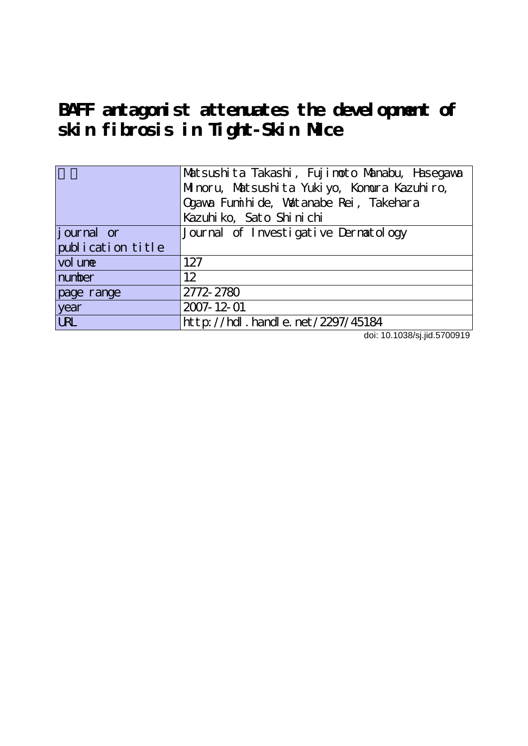**BAFF antagonist attenuates the development of skin fibrosis in Tight-Skin Mice**

|                   | Matsushita Takashi, Fujimoto Manabu, Hasegawa |  |  |  |  |
|-------------------|-----------------------------------------------|--|--|--|--|
|                   | Minoru, Matsushita Yukiyo, Komura Kazuhiro,   |  |  |  |  |
|                   | Qgawa Funihi de, Watanabe Rei, Takehara       |  |  |  |  |
|                   | Kazuhi ko, Sato Shi ni chi                    |  |  |  |  |
| journal or        | Journal of Investigative Dernatology          |  |  |  |  |
| publication title |                                               |  |  |  |  |
| vol une           | 127                                           |  |  |  |  |
| number            | 12                                            |  |  |  |  |
| page range        | 2772-2780                                     |  |  |  |  |
| year              | 2007-12-01                                    |  |  |  |  |
| <b>URL</b>        | http://hdl.handle.net/2297/45184              |  |  |  |  |

doi: 10.1038/sj.jid.5700919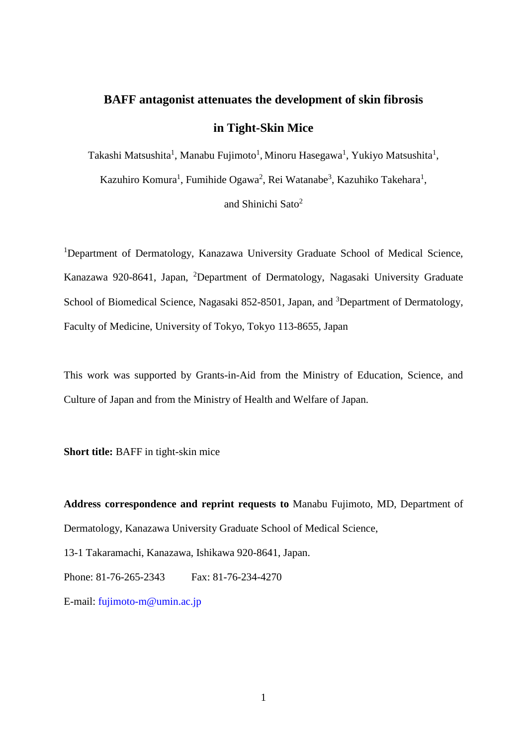# **BAFF antagonist attenuates the development of skin fibrosis in Tight-Skin Mice**

Takashi Matsushita<sup>1</sup>, Manabu Fujimoto<sup>1</sup>, Minoru Hasegawa<sup>1</sup>, Yukiyo Matsushita<sup>1</sup>,

Kazuhiro Komura<sup>1</sup>, Fumihide Ogawa<sup>2</sup>, Rei Watanabe<sup>3</sup>, Kazuhiko Takehara<sup>1</sup>,

and Shinichi Sato2

<sup>1</sup>Department of Dermatology, Kanazawa University Graduate School of Medical Science, Kanazawa 920-8641, Japan, <sup>2</sup>Department of Dermatology, Nagasaki University Graduate School of Biomedical Science, Nagasaki 852-8501, Japan, and <sup>3</sup>Department of Dermatology, Faculty of Medicine, University of Tokyo, Tokyo 113-8655, Japan

This work was supported by Grants-in-Aid from the Ministry of Education, Science, and Culture of Japan and from the Ministry of Health and Welfare of Japan.

**Short title:** BAFF in tight-skin mice

**Address correspondence and reprint requests to** Manabu Fujimoto, MD, Department of Dermatology, Kanazawa University Graduate School of Medical Science,

13-1 Takaramachi, Kanazawa, Ishikawa 920-8641, Japan.

Phone: 81-76-265-2343 Fax: 81-76-234-4270

E-mail: [fujimoto-m@umin.ac.jp](mailto:fujimoto-m@umin.ac.jp)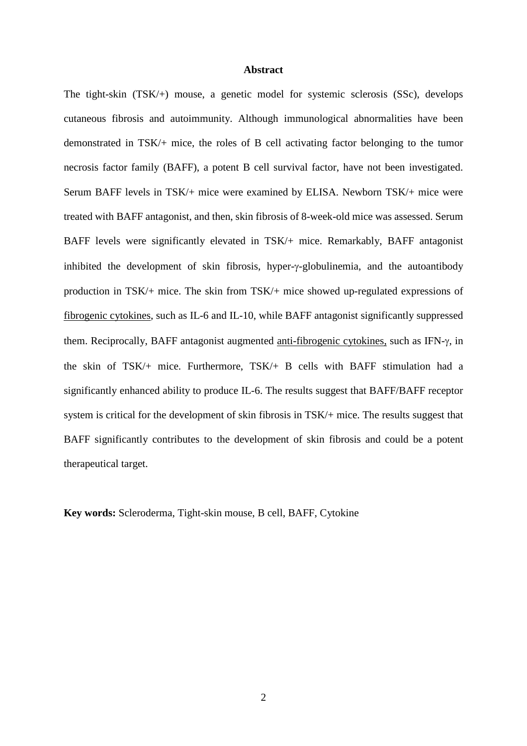## **Abstract**

The tight-skin (TSK/+) mouse, a genetic model for systemic sclerosis (SSc), develops cutaneous fibrosis and autoimmunity. Although immunological abnormalities have been demonstrated in TSK/+ mice, the roles of B cell activating factor belonging to the tumor necrosis factor family (BAFF), a potent B cell survival factor, have not been investigated. Serum BAFF levels in TSK/+ mice were examined by ELISA. Newborn TSK/+ mice were treated with BAFF antagonist, and then, skin fibrosis of 8-week-old mice was assessed. Serum BAFF levels were significantly elevated in TSK/+ mice. Remarkably, BAFF antagonist inhibited the development of skin fibrosis, hyper-γ-globulinemia, and the autoantibody production in TSK/+ mice. The skin from TSK/+ mice showed up-regulated expressions of fibrogenic cytokines, such as IL-6 and IL-10, while BAFF antagonist significantly suppressed them. Reciprocally, BAFF antagonist augmented anti-fibrogenic cytokines, such as IFN-γ, in the skin of TSK/+ mice. Furthermore, TSK/+ B cells with BAFF stimulation had a significantly enhanced ability to produce IL-6. The results suggest that BAFF/BAFF receptor system is critical for the development of skin fibrosis in TSK/+ mice. The results suggest that BAFF significantly contributes to the development of skin fibrosis and could be a potent therapeutical target.

**Key words:** Scleroderma, Tight-skin mouse, B cell, BAFF, Cytokine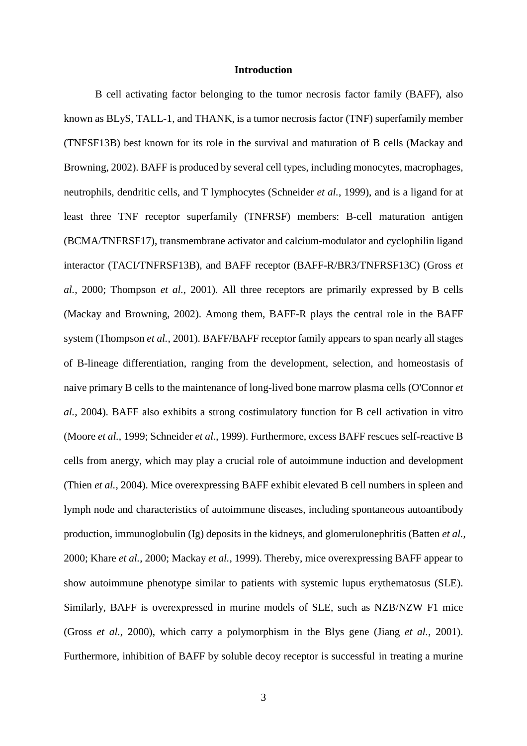## **Introduction**

B cell activating factor belonging to the tumor necrosis factor family (BAFF), also known as BLyS, TALL-1, and THANK, is a tumor necrosis factor (TNF) superfamily member (TNFSF13B) best known for its role in the survival and maturation of B cells (Mackay and Browning, 2002). BAFF is produced by several cell types, including monocytes, macrophages, neutrophils, dendritic cells, and T lymphocytes (Schneider *et al.*, 1999), and is a ligand for at least three TNF receptor superfamily (TNFRSF) members: B-cell maturation antigen (BCMA/TNFRSF17), transmembrane activator and calcium-modulator and cyclophilin ligand interactor (TACI/TNFRSF13B), and BAFF receptor (BAFF-R/BR3/TNFRSF13C) (Gross *et al.*, 2000; Thompson *et al.*, 2001). All three receptors are primarily expressed by B cells (Mackay and Browning, 2002). Among them, BAFF-R plays the central role in the BAFF system (Thompson *et al.*, 2001). BAFF/BAFF receptor family appears to span nearly all stages of B-lineage differentiation, ranging from the development, selection, and homeostasis of naive primary B cells to the maintenance of long-lived bone marrow plasma cells (O'Connor *et al.*, 2004). BAFF also exhibits a strong costimulatory function for B cell activation in vitro (Moore *et al.*, 1999; Schneider *et al.*, 1999). Furthermore, excess BAFF rescues self-reactive B cells from anergy, which may play a crucial role of autoimmune induction and development (Thien *et al.*, 2004). Mice overexpressing BAFF exhibit elevated B cell numbers in spleen and lymph node and characteristics of autoimmune diseases, including spontaneous autoantibody production, immunoglobulin (Ig) deposits in the kidneys, and glomerulonephritis (Batten *et al.*, 2000; Khare *et al.*, 2000; Mackay *et al.*, 1999). Thereby, mice overexpressing BAFF appear to show autoimmune phenotype similar to patients with systemic lupus erythematosus (SLE). Similarly, BAFF is overexpressed in murine models of SLE, such as NZB/NZW F1 mice (Gross *et al.*, 2000), which carry a polymorphism in the Blys gene (Jiang *et al.*, 2001). Furthermore, inhibition of BAFF by soluble decoy receptor is successful in treating a murine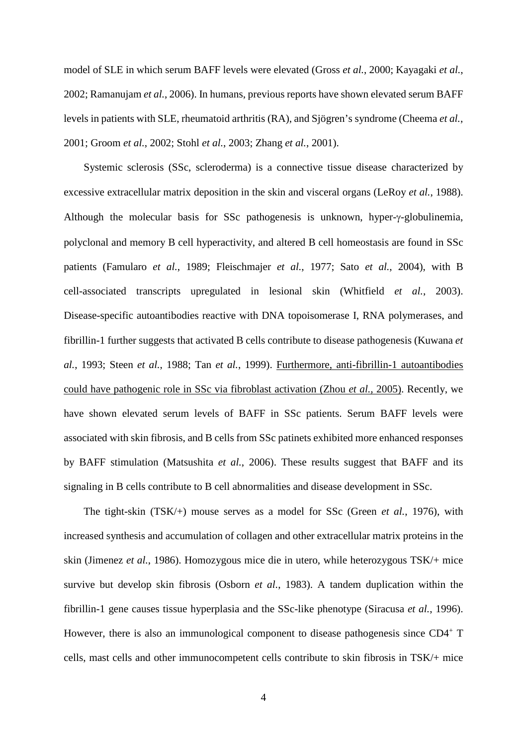model of SLE in which serum BAFF levels were elevated (Gross *et al.*, 2000; Kayagaki *et al.*, 2002; Ramanujam *et al.*, 2006). In humans, previous reports have shown elevated serum BAFF levels in patients with SLE, rheumatoid arthritis (RA), and Sjögren's syndrome (Cheema *et al.*, 2001; Groom *et al.*, 2002; Stohl *et al.*, 2003; Zhang *et al.*, 2001).

Systemic sclerosis (SSc, scleroderma) is a connective tissue disease characterized by excessive extracellular matrix deposition in the skin and visceral organs (LeRoy *et al.*, 1988). Although the molecular basis for SSc pathogenesis is unknown, hyper-γ-globulinemia, polyclonal and memory B cell hyperactivity, and altered B cell homeostasis are found in SSc patients (Famularo *et al.*, 1989; Fleischmajer *et al.*, 1977; Sato *et al.*, 2004), with B cell-associated transcripts upregulated in lesional skin (Whitfield *et al.*, 2003). Disease-specific autoantibodies reactive with DNA topoisomerase I, RNA polymerases, and fibrillin-1 further suggests that activated B cells contribute to disease pathogenesis (Kuwana *et al.*, 1993; Steen *et al.*, 1988; Tan *et al.*, 1999). Furthermore, anti-fibrillin-1 autoantibodies could have pathogenic role in SSc via fibroblast activation (Zhou *et al.*, 2005). Recently, we have shown elevated serum levels of BAFF in SSc patients. Serum BAFF levels were associated with skin fibrosis, and B cells from SSc patinets exhibited more enhanced responses by BAFF stimulation (Matsushita *et al.*, 2006). These results suggest that BAFF and its signaling in B cells contribute to B cell abnormalities and disease development in SSc.

The tight-skin (TSK/+) mouse serves as a model for SSc (Green *et al.*, 1976), with increased synthesis and accumulation of collagen and other extracellular matrix proteins in the skin (Jimenez *et al.*, 1986). Homozygous mice die in utero, while heterozygous TSK/+ mice survive but develop skin fibrosis (Osborn *et al.*, 1983). A tandem duplication within the fibrillin-1 gene causes tissue hyperplasia and the SSc-like phenotype (Siracusa *et al.*, 1996). However, there is also an immunological component to disease pathogenesis since CD4<sup>+</sup> T cells, mast cells and other immunocompetent cells contribute to skin fibrosis in TSK/+ mice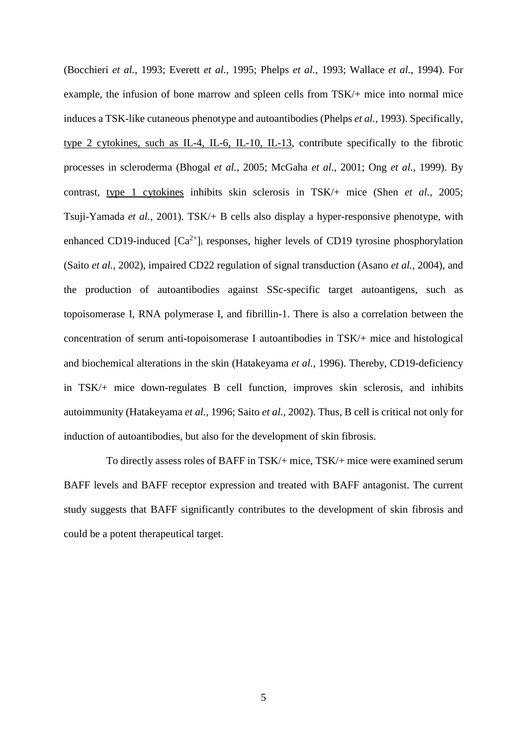(Bocchieri *et al.*, 1993; Everett *et al.*, 1995; Phelps *et al.*, 1993; Wallace *et al.*, 1994). For example, the infusion of bone marrow and spleen cells from TSK/+ mice into normal mice induces a TSK-like cutaneous phenotype and autoantibodies (Phelps *et al.*, 1993). Specifically, type 2 cytokines, such as IL-4, IL-6, IL-10, IL-13, contribute specifically to the fibrotic processes in scleroderma (Bhogal *et al.*, 2005; McGaha *et al.*, 2001; Ong *et al.*, 1999). By contrast, type 1 cytokines inhibits skin sclerosis in TSK/+ mice (Shen *et al.*, 2005; Tsuji-Yamada *et al.*, 2001). TSK/+ B cells also display a hyper-responsive phenotype, with enhanced CD19-induced  $[Ca^{2+}]}$  responses, higher levels of CD19 tyrosine phosphorylation (Saito *et al.*, 2002), impaired CD22 regulation of signal transduction (Asano *et al.*, 2004), and the production of autoantibodies against SSc-specific target autoantigens, such as topoisomerase I, RNA polymerase I, and fibrillin-1. There is also a correlation between the concentration of serum anti-topoisomerase I autoantibodies in TSK/+ mice and histological and biochemical alterations in the skin (Hatakeyama *et al.*, 1996). Thereby, CD19-deficiency in TSK/+ mice down-regulates B cell function, improves skin sclerosis, and inhibits autoimmunity (Hatakeyama *et al.*, 1996; Saito *et al.*, 2002). Thus, B cell is critical not only for induction of autoantibodies, but also for the development of skin fibrosis.

To directly assess roles of BAFF in TSK/+ mice, TSK/+ mice were examined serum BAFF levels and BAFF receptor expression and treated with BAFF antagonist. The current study suggests that BAFF significantly contributes to the development of skin fibrosis and could be a potent therapeutical target.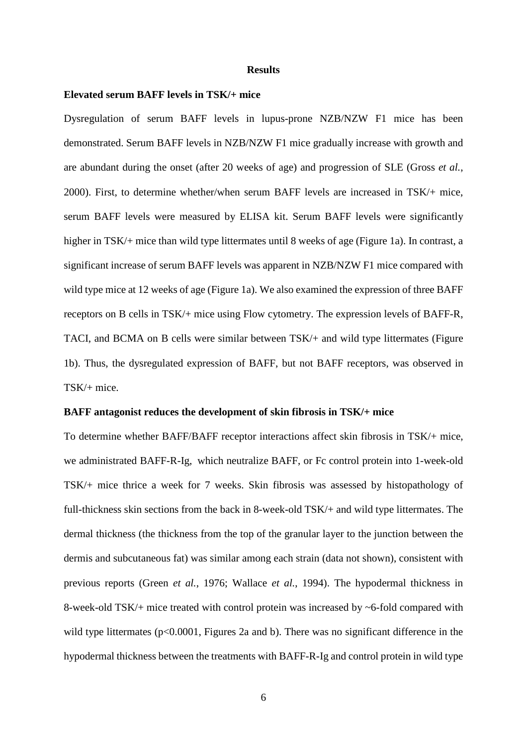### **Results**

#### **Elevated serum BAFF levels in TSK/+ mice**

Dysregulation of serum BAFF levels in lupus-prone NZB/NZW F1 mice has been demonstrated. Serum BAFF levels in NZB/NZW F1 mice gradually increase with growth and are abundant during the onset (after 20 weeks of age) and progression of SLE (Gross *et al.*, 2000). First, to determine whether/when serum BAFF levels are increased in TSK/+ mice, serum BAFF levels were measured by ELISA kit. Serum BAFF levels were significantly higher in TSK/+ mice than wild type littermates until 8 weeks of age (Figure 1a). In contrast, a significant increase of serum BAFF levels was apparent in NZB/NZW F1 mice compared with wild type mice at 12 weeks of age (Figure 1a). We also examined the expression of three BAFF receptors on B cells in TSK/+ mice using Flow cytometry. The expression levels of BAFF-R, TACI, and BCMA on B cells were similar between TSK/+ and wild type littermates (Figure 1b). Thus, the dysregulated expression of BAFF, but not BAFF receptors, was observed in TSK/+ mice.

## **BAFF antagonist reduces the development of skin fibrosis in TSK/+ mice**

To determine whether BAFF/BAFF receptor interactions affect skin fibrosis in TSK/+ mice, we administrated BAFF-R-Ig, which neutralize BAFF, or Fc control protein into 1-week-old TSK/+ mice thrice a week for 7 weeks. Skin fibrosis was assessed by histopathology of full-thickness skin sections from the back in 8-week-old TSK/+ and wild type littermates. The dermal thickness (the thickness from the top of the granular layer to the junction between the dermis and subcutaneous fat) was similar among each strain (data not shown), consistent with previous reports (Green *et al.*, 1976; Wallace *et al.*, 1994). The hypodermal thickness in 8-week-old TSK/+ mice treated with control protein was increased by ~6-fold compared with wild type littermates ( $p<0.0001$ , Figures 2a and b). There was no significant difference in the hypodermal thickness between the treatments with BAFF-R-Ig and control protein in wild type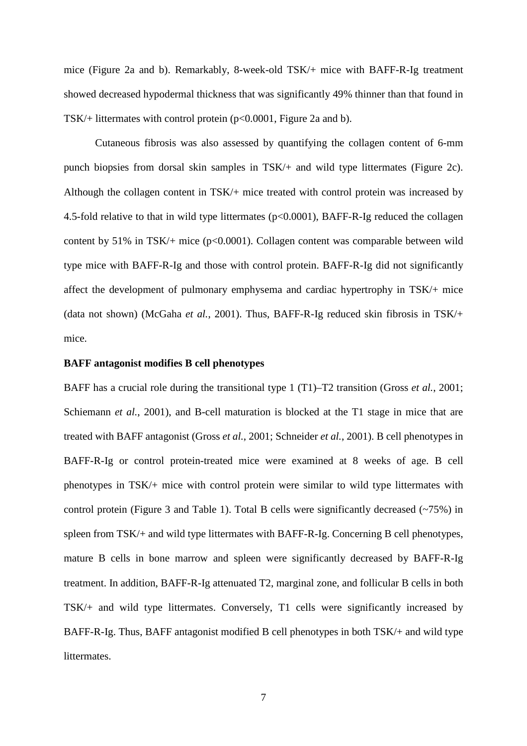mice (Figure 2a and b). Remarkably, 8-week-old TSK/+ mice with BAFF-R-Ig treatment showed decreased hypodermal thickness that was significantly 49% thinner than that found in TSK/+ littermates with control protein (p<0.0001, Figure 2a and b).

Cutaneous fibrosis was also assessed by quantifying the collagen content of 6-mm punch biopsies from dorsal skin samples in TSK/+ and wild type littermates (Figure 2c). Although the collagen content in TSK/+ mice treated with control protein was increased by 4.5-fold relative to that in wild type littermates (p<0.0001), BAFF-R-Ig reduced the collagen content by  $51\%$  in TSK/+ mice (p<0.0001). Collagen content was comparable between wild type mice with BAFF-R-Ig and those with control protein. BAFF-R-Ig did not significantly affect the development of pulmonary emphysema and cardiac hypertrophy in TSK/+ mice (data not shown) (McGaha *et al.*, 2001). Thus, BAFF-R-Ig reduced skin fibrosis in TSK/+ mice.

## **BAFF antagonist modifies B cell phenotypes**

BAFF has a crucial role during the transitional type 1 (T1)–T2 transition (Gross *et al.*, 2001; Schiemann *et al.*, 2001), and B-cell maturation is blocked at the T1 stage in mice that are treated with BAFF antagonist (Gross *et al.*, 2001; Schneider *et al.*, 2001). B cell phenotypes in BAFF-R-Ig or control protein-treated mice were examined at 8 weeks of age. B cell phenotypes in TSK/+ mice with control protein were similar to wild type littermates with control protein (Figure 3 and Table 1). Total B cells were significantly decreased (~75%) in spleen from TSK/+ and wild type littermates with BAFF-R-Ig. Concerning B cell phenotypes, mature B cells in bone marrow and spleen were significantly decreased by BAFF-R-Ig treatment. In addition, BAFF-R-Ig attenuated T2, marginal zone, and follicular B cells in both TSK/+ and wild type littermates. Conversely, T1 cells were significantly increased by BAFF-R-Ig. Thus, BAFF antagonist modified B cell phenotypes in both TSK/+ and wild type littermates.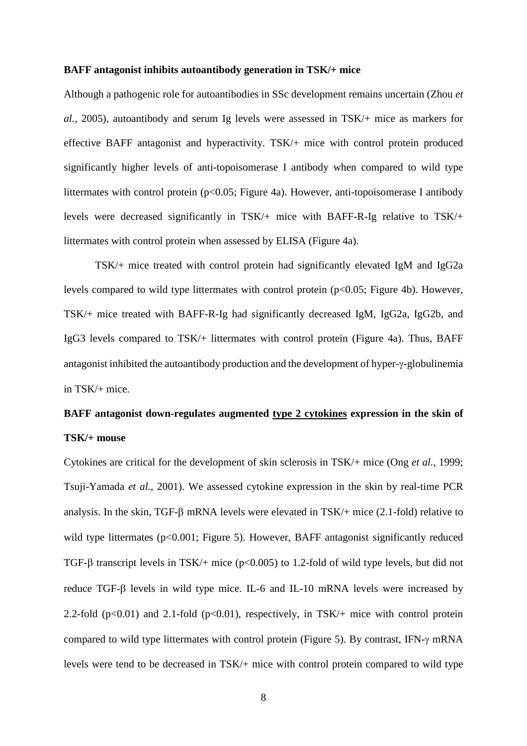## **BAFF antagonist inhibits autoantibody generation in TSK/+ mice**

Although a pathogenic role for autoantibodies in SSc development remains uncertain (Zhou *et al.*, 2005), autoantibody and serum Ig levels were assessed in TSK/+ mice as markers for effective BAFF antagonist and hyperactivity. TSK/+ mice with control protein produced significantly higher levels of anti-topoisomerase I antibody when compared to wild type littermates with control protein (p<0.05; Figure 4a). However, anti-topoisomerase I antibody levels were decreased significantly in TSK/+ mice with BAFF-R-Ig relative to TSK/+ littermates with control protein when assessed by ELISA (Figure 4a).

TSK/+ mice treated with control protein had significantly elevated IgM and IgG2a levels compared to wild type littermates with control protein (p<0.05; Figure 4b). However, TSK/+ mice treated with BAFF-R-Ig had significantly decreased IgM, IgG2a, IgG2b, and IgG3 levels compared to TSK/+ littermates with control protein (Figure 4a). Thus, BAFF antagonist inhibited the autoantibody production and the development of hyper-γ-globulinemia in TSK/+ mice.

## **BAFF antagonist down-regulates augmented type 2 cytokines expression in the skin of TSK/+ mouse**

Cytokines are critical for the development of skin sclerosis in TSK/+ mice (Ong *et al.*, 1999; Tsuji-Yamada *et al.*, 2001). We assessed cytokine expression in the skin by real-time PCR analysis. In the skin, TGF-β mRNA levels were elevated in TSK/+ mice (2.1-fold) relative to wild type littermates (p<0.001; Figure 5). However, BAFF antagonist significantly reduced TGF-β transcript levels in TSK/+ mice ( $p<0.005$ ) to 1.2-fold of wild type levels, but did not reduce TGF-β levels in wild type mice. IL-6 and IL-10 mRNA levels were increased by 2.2-fold ( $p<0.01$ ) and 2.1-fold ( $p<0.01$ ), respectively, in TSK/+ mice with control protein compared to wild type littermates with control protein (Figure 5). By contrast, IFN-γ mRNA levels were tend to be decreased in TSK/+ mice with control protein compared to wild type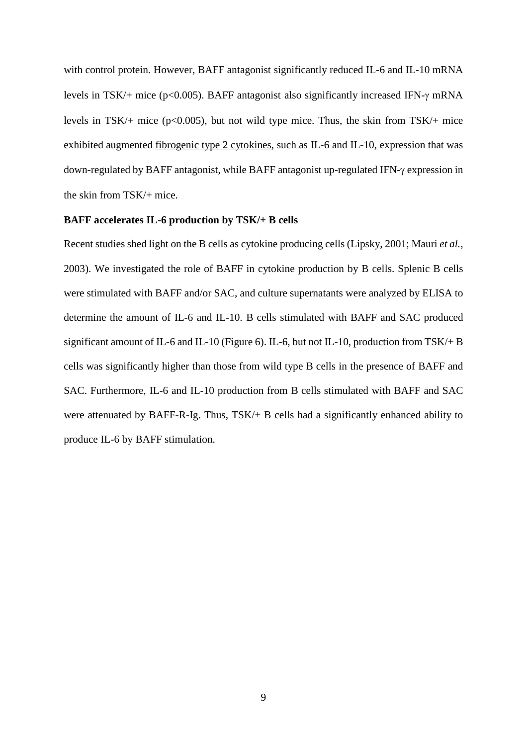with control protein. However, BAFF antagonist significantly reduced IL-6 and IL-10 mRNA levels in TSK/+ mice (p<0.005). BAFF antagonist also significantly increased IFN-γ mRNA levels in TSK/+ mice ( $p<0.005$ ), but not wild type mice. Thus, the skin from TSK/+ mice exhibited augmented fibrogenic type 2 cytokines, such as IL-6 and IL-10, expression that was down-regulated by BAFF antagonist, while BAFF antagonist up-regulated IFN-γ expression in the skin from TSK/+ mice.

## **BAFF accelerates IL-6 production by TSK/+ B cells**

Recent studies shed light on the B cells as cytokine producing cells (Lipsky, 2001; Mauri *et al.*, 2003). We investigated the role of BAFF in cytokine production by B cells. Splenic B cells were stimulated with BAFF and/or SAC, and culture supernatants were analyzed by ELISA to determine the amount of IL-6 and IL-10. B cells stimulated with BAFF and SAC produced significant amount of IL-6 and IL-10 (Figure 6). IL-6, but not IL-10, production from TSK/+ B cells was significantly higher than those from wild type B cells in the presence of BAFF and SAC. Furthermore, IL-6 and IL-10 production from B cells stimulated with BAFF and SAC were attenuated by BAFF-R-Ig. Thus, TSK/+ B cells had a significantly enhanced ability to produce IL-6 by BAFF stimulation.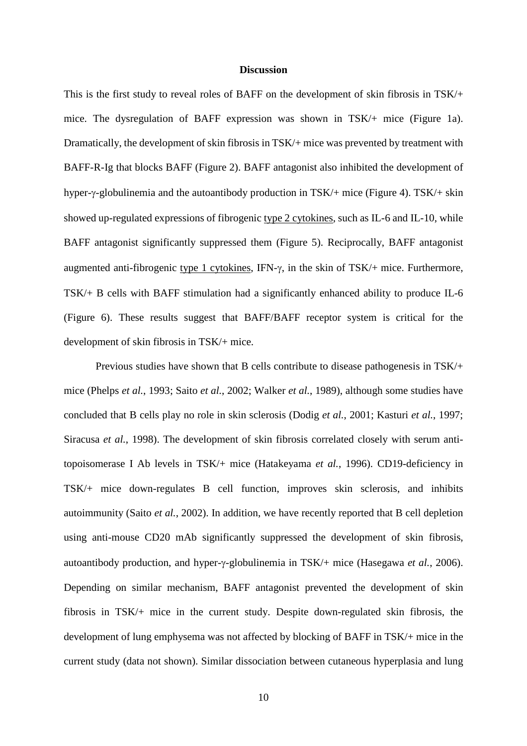## **Discussion**

This is the first study to reveal roles of BAFF on the development of skin fibrosis in TSK/+ mice. The dysregulation of BAFF expression was shown in TSK/+ mice (Figure 1a). Dramatically, the development of skin fibrosis in TSK/+ mice was prevented by treatment with BAFF-R-Ig that blocks BAFF (Figure 2). BAFF antagonist also inhibited the development of hyper-γ-globulinemia and the autoantibody production in TSK/+ mice (Figure 4). TSK/+ skin showed up-regulated expressions of fibrogenic type 2 cytokines, such as IL-6 and IL-10, while BAFF antagonist significantly suppressed them (Figure 5). Reciprocally, BAFF antagonist augmented anti-fibrogenic type 1 cytokines, IFN-γ, in the skin of TSK/+ mice. Furthermore, TSK/+ B cells with BAFF stimulation had a significantly enhanced ability to produce IL-6 (Figure 6). These results suggest that BAFF/BAFF receptor system is critical for the development of skin fibrosis in TSK/+ mice.

Previous studies have shown that B cells contribute to disease pathogenesis in TSK/+ mice (Phelps *et al.*, 1993; Saito *et al.*, 2002; Walker *et al.*, 1989), although some studies have concluded that B cells play no role in skin sclerosis (Dodig *et al.*, 2001; Kasturi *et al.*, 1997; Siracusa *et al.*, 1998). The development of skin fibrosis correlated closely with serum antitopoisomerase I Ab levels in TSK/+ mice (Hatakeyama *et al.*, 1996). CD19-deficiency in TSK/+ mice down-regulates B cell function, improves skin sclerosis, and inhibits autoimmunity (Saito *et al.*, 2002). In addition, we have recently reported that B cell depletion using anti-mouse CD20 mAb significantly suppressed the development of skin fibrosis, autoantibody production, and hyper-γ-globulinemia in TSK/+ mice (Hasegawa *et al.*, 2006). Depending on similar mechanism, BAFF antagonist prevented the development of skin fibrosis in TSK/+ mice in the current study. Despite down-regulated skin fibrosis, the development of lung emphysema was not affected by blocking of BAFF in TSK/+ mice in the current study (data not shown). Similar dissociation between cutaneous hyperplasia and lung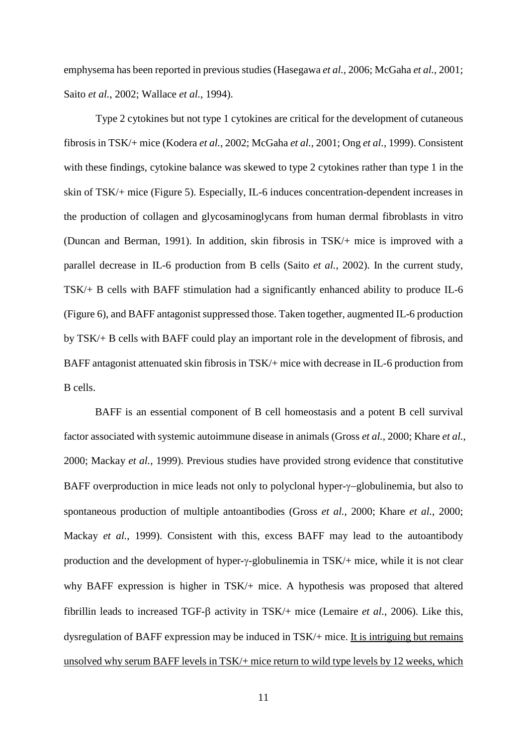emphysema has been reported in previous studies (Hasegawa *et al.*, 2006; McGaha *et al.*, 2001; Saito *et al.*, 2002; Wallace *et al.*, 1994).

Type 2 cytokines but not type 1 cytokines are critical for the development of cutaneous fibrosis in TSK/+ mice (Kodera *et al.*, 2002; McGaha *et al.*, 2001; Ong *et al.*, 1999). Consistent with these findings, cytokine balance was skewed to type 2 cytokines rather than type 1 in the skin of TSK/+ mice (Figure 5). Especially, IL-6 induces concentration-dependent increases in the production of collagen and glycosaminoglycans from human dermal fibroblasts in vitro (Duncan and Berman, 1991). In addition, skin fibrosis in TSK/+ mice is improved with a parallel decrease in IL-6 production from B cells (Saito *et al.*, 2002). In the current study, TSK/+ B cells with BAFF stimulation had a significantly enhanced ability to produce IL-6 (Figure 6), and BAFF antagonist suppressed those. Taken together, augmented IL-6 production by TSK/+ B cells with BAFF could play an important role in the development of fibrosis, and BAFF antagonist attenuated skin fibrosis in TSK/+ mice with decrease in IL-6 production from B cells.

BAFF is an essential component of B cell homeostasis and a potent B cell survival factor associated with systemic autoimmune disease in animals (Gross *et al.*, 2000; Khare *et al.*, 2000; Mackay *et al.*, 1999). Previous studies have provided strong evidence that constitutive BAFF overproduction in mice leads not only to polyclonal hyper-γ−globulinemia, but also to spontaneous production of multiple antoantibodies (Gross *et al.*, 2000; Khare *et al.*, 2000; Mackay *et al.*, 1999). Consistent with this, excess BAFF may lead to the autoantibody production and the development of hyper-γ-globulinemia in TSK/+ mice, while it is not clear why BAFF expression is higher in TSK/+ mice. A hypothesis was proposed that altered fibrillin leads to increased TGF-β activity in TSK/+ mice (Lemaire *et al.*, 2006). Like this, dysregulation of BAFF expression may be induced in TSK/+ mice. It is intriguing but remains unsolved why serum BAFF levels in TSK/+ mice return to wild type levels by 12 weeks, which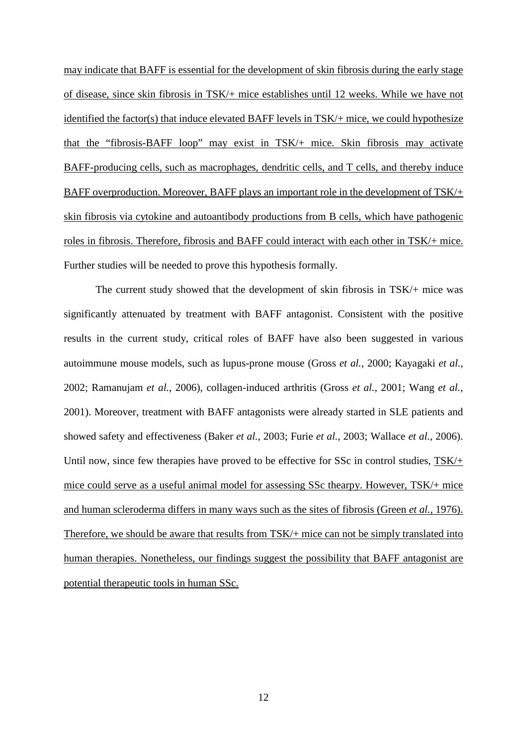may indicate that BAFF is essential for the development of skin fibrosis during the early stage of disease, since skin fibrosis in TSK/+ mice establishes until 12 weeks. While we have not identified the factor(s) that induce elevated BAFF levels in TSK/+ mice, we could hypothesize that the "fibrosis-BAFF loop" may exist in TSK/+ mice. Skin fibrosis may activate BAFF-producing cells, such as macrophages, dendritic cells, and T cells, and thereby induce BAFF overproduction. Moreover, BAFF plays an important role in the development of TSK/+ skin fibrosis via cytokine and autoantibody productions from B cells, which have pathogenic roles in fibrosis. Therefore, fibrosis and BAFF could interact with each other in TSK/+ mice. Further studies will be needed to prove this hypothesis formally.

The current study showed that the development of skin fibrosis in TSK/+ mice was significantly attenuated by treatment with BAFF antagonist. Consistent with the positive results in the current study, critical roles of BAFF have also been suggested in various autoimmune mouse models, such as lupus-prone mouse (Gross *et al.*, 2000; Kayagaki *et al.*, 2002; Ramanujam *et al.*, 2006), collagen-induced arthritis (Gross *et al.*, 2001; Wang *et al.*, 2001). Moreover, treatment with BAFF antagonists were already started in SLE patients and showed safety and effectiveness (Baker *et al.*, 2003; Furie *et al.*, 2003; Wallace *et al.*, 2006). Until now, since few therapies have proved to be effective for SSc in control studies, TSK/+ mice could serve as a useful animal model for assessing SSc thearpy. However, TSK/+ mice and human scleroderma differs in many ways such as the sites of fibrosis (Green *et al.*, 1976). Therefore, we should be aware that results from TSK/+ mice can not be simply translated into human therapies. Nonetheless, our findings suggest the possibility that BAFF antagonist are potential therapeutic tools in human SSc.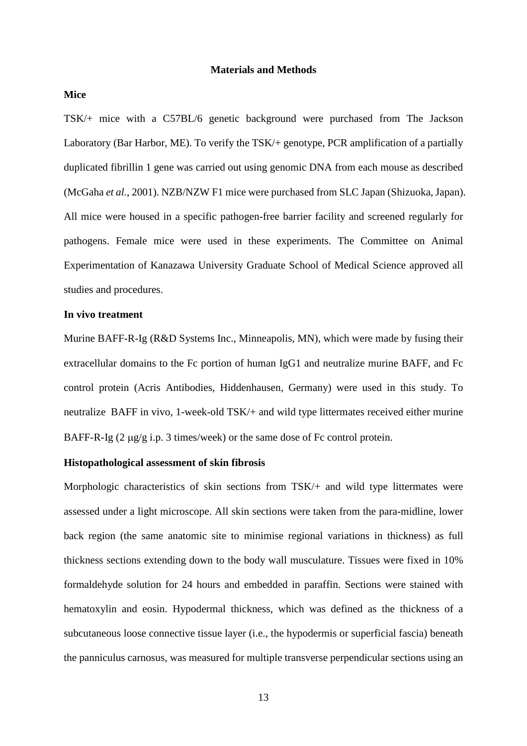## **Materials and Methods**

## **Mice**

TSK/+ mice with a C57BL/6 genetic background were purchased from The Jackson Laboratory (Bar Harbor, ME). To verify the TSK/+ genotype, PCR amplification of a partially duplicated fibrillin 1 gene was carried out using genomic DNA from each mouse as described (McGaha *et al.*, 2001). NZB/NZW F1 mice were purchased from SLC Japan (Shizuoka, Japan). All mice were housed in a specific pathogen-free barrier facility and screened regularly for pathogens. Female mice were used in these experiments. The Committee on Animal Experimentation of Kanazawa University Graduate School of Medical Science approved all studies and procedures.

## **In vivo treatment**

Murine BAFF-R-Ig (R&D Systems Inc., Minneapolis, MN), which were made by fusing their extracellular domains to the Fc portion of human IgG1 and neutralize murine BAFF, and Fc control protein (Acris Antibodies, Hiddenhausen, Germany) were used in this study. To neutralize BAFF in vivo, 1-week-old TSK/+ and wild type littermates received either murine BAFF-R-Ig  $(2 \mu g/g \text{ i.p. } 3 \text{ times/week})$  or the same dose of Fc control protein.

## **Histopathological assessment of skin fibrosis**

Morphologic characteristics of skin sections from TSK/+ and wild type littermates were assessed under a light microscope. All skin sections were taken from the para-midline, lower back region (the same anatomic site to minimise regional variations in thickness) as full thickness sections extending down to the body wall musculature. Tissues were fixed in 10% formaldehyde solution for 24 hours and embedded in paraffin. Sections were stained with hematoxylin and eosin. Hypodermal thickness, which was defined as the thickness of a subcutaneous loose connective tissue layer (i.e., the hypodermis or superficial fascia) beneath the panniculus carnosus, was measured for multiple transverse perpendicular sections using an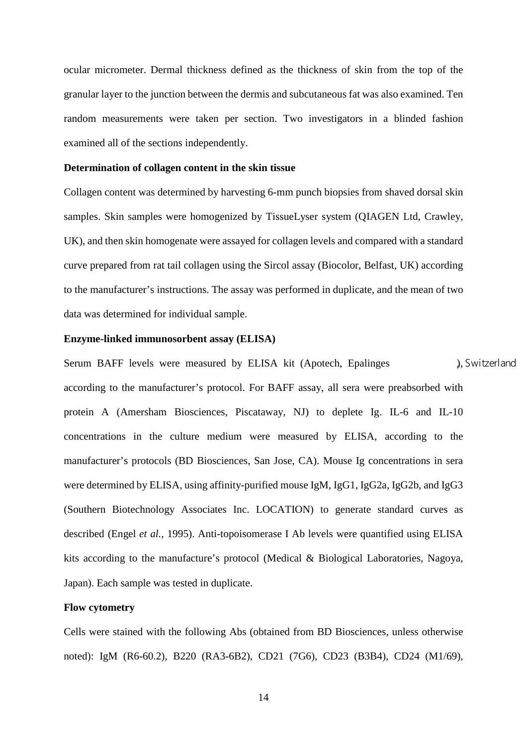ocular micrometer. Dermal thickness defined as the thickness of skin from the top of the granular layer to the junction between the dermis and subcutaneous fat was also examined. Ten random measurements were taken per section. Two investigators in a blinded fashion examined all of the sections independently.

## **Determination of collagen content in the skin tissue**

Collagen content was determined by harvesting 6-mm punch biopsies from shaved dorsal skin samples. Skin samples were homogenized by TissueLyser system (QIAGEN Ltd, Crawley, UK), and then skin homogenate were assayed for collagen levels and compared with a standard curve prepared from rat tail collagen using the Sircol assay (Biocolor, Belfast, UK) according to the manufacturer's instructions. The assay was performed in duplicate, and the mean of two data was determined for individual sample.

## **Enzyme-linked immunosorbent assay (ELISA)**

Serum BAFF levels were measured by ELISA kit (Apotech, Epalinges ), Switzerland according to the manufacturer's protocol. For BAFF assay, all sera were preabsorbed with protein A (Amersham Biosciences, Piscataway, NJ) to deplete Ig. IL-6 and IL-10 concentrations in the culture medium were measured by ELISA, according to the manufacturer's protocols (BD Biosciences, San Jose, CA). Mouse Ig concentrations in sera were determined by ELISA, using affinity-purified mouse IgM, IgG1, IgG2a, IgG2b, and IgG3 (Southern Biotechnology Associates Inc. LOCATION) to generate standard curves as described (Engel *et al.*, 1995). Anti-topoisomerase I Ab levels were quantified using ELISA kits according to the manufacture's protocol (Medical & Biological Laboratories, Nagoya, Japan). Each sample was tested in duplicate.

## **Flow cytometry**

Cells were stained with the following Abs (obtained from BD Biosciences, unless otherwise noted): IgM (R6-60.2), B220 (RA3-6B2), CD21 (7G6), CD23 (B3B4), CD24 (M1/69),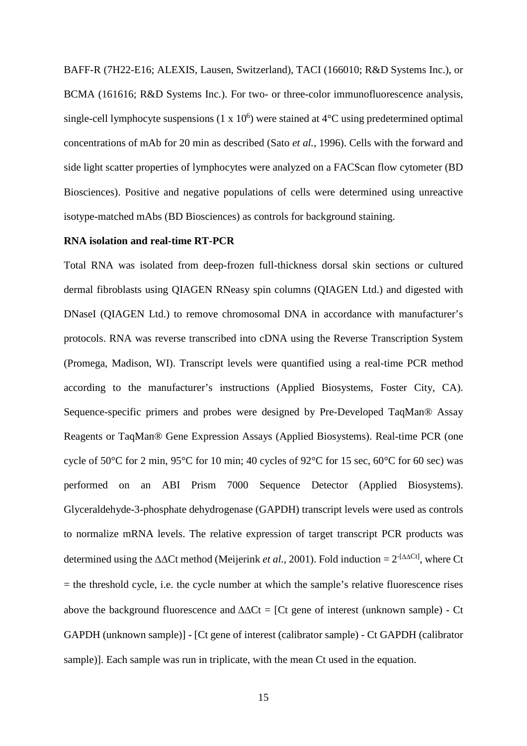BAFF-R (7H22-E16; ALEXIS, Lausen, Switzerland), TACI (166010; R&D Systems Inc.), or BCMA (161616; R&D Systems Inc.). For two- or three-color immunofluorescence analysis, single-cell lymphocyte suspensions  $(1 \times 10^6)$  were stained at  $4^{\circ}$ C using predetermined optimal concentrations of mAb for 20 min as described (Sato *et al.*, 1996). Cells with the forward and side light scatter properties of lymphocytes were analyzed on a FACScan flow cytometer (BD Biosciences). Positive and negative populations of cells were determined using unreactive isotype-matched mAbs (BD Biosciences) as controls for background staining.

## **RNA isolation and real-time RT-PCR**

Total RNA was isolated from deep-frozen full-thickness dorsal skin sections or cultured dermal fibroblasts using QIAGEN RNeasy spin columns (QIAGEN Ltd.) and digested with DNaseI (QIAGEN Ltd.) to remove chromosomal DNA in accordance with manufacturer's protocols. RNA was reverse transcribed into cDNA using the Reverse Transcription System (Promega, Madison, WI). Transcript levels were quantified using a real-time PCR method according to the manufacturer's instructions (Applied Biosystems, Foster City, CA). Sequence-specific primers and probes were designed by Pre-Developed TaqMan® Assay Reagents or TaqMan® Gene Expression Assays (Applied Biosystems). Real-time PCR (one cycle of 50°C for 2 min, 95°C for 10 min; 40 cycles of 92°C for 15 sec, 60°C for 60 sec) was performed on an ABI Prism 7000 Sequence Detector (Applied Biosystems). Glyceraldehyde-3-phosphate dehydrogenase (GAPDH) transcript levels were used as controls to normalize mRNA levels. The relative expression of target transcript PCR products was determined using the ∆∆Ct method (Meijerink *et al.*, 2001). Fold induction = 2-[∆∆Ct], where Ct  $=$  the threshold cycle, i.e. the cycle number at which the sample's relative fluorescence rises above the background fluorescence and  $\Delta\Delta Ct = [Ct]$  gene of interest (unknown sample) - Ct GAPDH (unknown sample)] - [Ct gene of interest (calibrator sample) - Ct GAPDH (calibrator sample)]. Each sample was run in triplicate, with the mean Ct used in the equation.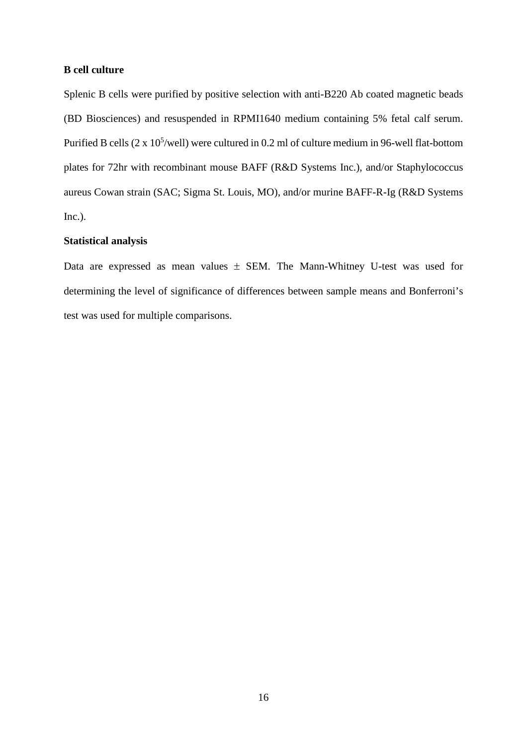## **B cell culture**

Splenic B cells were purified by positive selection with anti-B220 Ab coated magnetic beads (BD Biosciences) and resuspended in RPMI1640 medium containing 5% fetal calf serum. Purified B cells  $(2 \times 10^5/\text{well})$  were cultured in 0.2 ml of culture medium in 96-well flat-bottom plates for 72hr with recombinant mouse BAFF (R&D Systems Inc.), and/or Staphylococcus aureus Cowan strain (SAC; Sigma St. Louis, MO), and/or murine BAFF-R-Ig (R&D Systems Inc.).

## **Statistical analysis**

Data are expressed as mean values ± SEM. The Mann-Whitney U-test was used for determining the level of significance of differences between sample means and Bonferroni's test was used for multiple comparisons.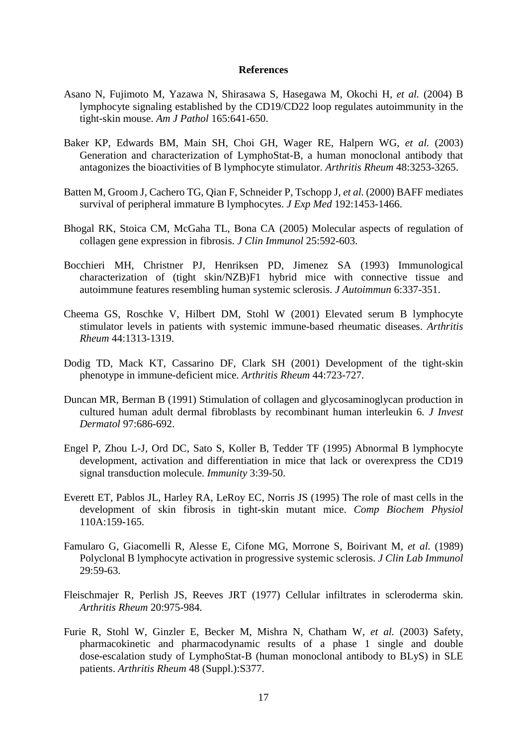## **References**

- Asano N, Fujimoto M, Yazawa N, Shirasawa S, Hasegawa M, Okochi H*, et al.* (2004) B lymphocyte signaling established by the CD19/CD22 loop regulates autoimmunity in the tight-skin mouse. *Am J Pathol* 165:641-650.
- Baker KP, Edwards BM, Main SH, Choi GH, Wager RE, Halpern WG*, et al.* (2003) Generation and characterization of LymphoStat-B, a human monoclonal antibody that antagonizes the bioactivities of B lymphocyte stimulator. *Arthritis Rheum* 48:3253-3265.
- Batten M, Groom J, Cachero TG, Qian F, Schneider P, Tschopp J*, et al.* (2000) BAFF mediates survival of peripheral immature B lymphocytes. *J Exp Med* 192:1453-1466.
- Bhogal RK, Stoica CM, McGaha TL, Bona CA (2005) Molecular aspects of regulation of collagen gene expression in fibrosis. *J Clin Immunol* 25:592-603.
- Bocchieri MH, Christner PJ, Henriksen PD, Jimenez SA (1993) Immunological characterization of (tight skin/NZB)F1 hybrid mice with connective tissue and autoimmune features resembling human systemic sclerosis. *J Autoimmun* 6:337-351.
- Cheema GS, Roschke V, Hilbert DM, Stohl W (2001) Elevated serum B lymphocyte stimulator levels in patients with systemic immune-based rheumatic diseases. *Arthritis Rheum* 44:1313-1319.
- Dodig TD, Mack KT, Cassarino DF, Clark SH (2001) Development of the tight-skin phenotype in immune-deficient mice. *Arthritis Rheum* 44:723-727.
- Duncan MR, Berman B (1991) Stimulation of collagen and glycosaminoglycan production in cultured human adult dermal fibroblasts by recombinant human interleukin 6. *J Invest Dermatol* 97:686-692.
- Engel P, Zhou L-J, Ord DC, Sato S, Koller B, Tedder TF (1995) Abnormal B lymphocyte development, activation and differentiation in mice that lack or overexpress the CD19 signal transduction molecule. *Immunity* 3:39-50.
- Everett ET, Pablos JL, Harley RA, LeRoy EC, Norris JS (1995) The role of mast cells in the development of skin fibrosis in tight-skin mutant mice. *Comp Biochem Physiol*  110A:159-165.
- Famularo G, Giacomelli R, Alesse E, Cifone MG, Morrone S, Boirivant M*, et al.* (1989) Polyclonal B lymphocyte activation in progressive systemic sclerosis. *J Clin Lab Immunol*  29:59-63.
- Fleischmajer R, Perlish JS, Reeves JRT (1977) Cellular infiltrates in scleroderma skin. *Arthritis Rheum* 20:975-984.
- Furie R, Stohl W, Ginzler E, Becker M, Mishra N, Chatham W*, et al.* (2003) Safety, pharmacokinetic and pharmacodynamic results of a phase 1 single and double dose-escalation study of LymphoStat-B (human monoclonal antibody to BLyS) in SLE patients. *Arthritis Rheum* 48 (Suppl.):S377.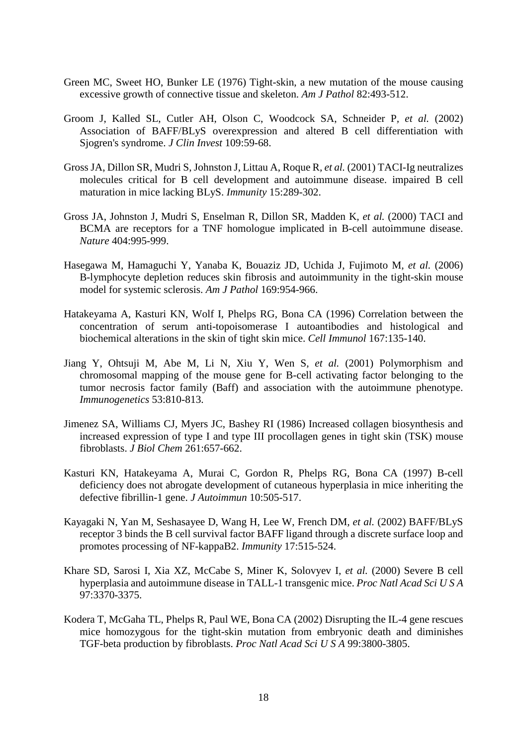- Green MC, Sweet HO, Bunker LE (1976) Tight-skin, a new mutation of the mouse causing excessive growth of connective tissue and skeleton. *Am J Pathol* 82:493-512.
- Groom J, Kalled SL, Cutler AH, Olson C, Woodcock SA, Schneider P*, et al.* (2002) Association of BAFF/BLyS overexpression and altered B cell differentiation with Sjogren's syndrome. *J Clin Invest* 109:59-68.
- Gross JA, Dillon SR, Mudri S, Johnston J, Littau A, Roque R*, et al.* (2001) TACI-Ig neutralizes molecules critical for B cell development and autoimmune disease. impaired B cell maturation in mice lacking BLyS. *Immunity* 15:289-302.
- Gross JA, Johnston J, Mudri S, Enselman R, Dillon SR, Madden K*, et al.* (2000) TACI and BCMA are receptors for a TNF homologue implicated in B-cell autoimmune disease. *Nature* 404:995-999.
- Hasegawa M, Hamaguchi Y, Yanaba K, Bouaziz JD, Uchida J, Fujimoto M*, et al.* (2006) B-lymphocyte depletion reduces skin fibrosis and autoimmunity in the tight-skin mouse model for systemic sclerosis. *Am J Pathol* 169:954-966.
- Hatakeyama A, Kasturi KN, Wolf I, Phelps RG, Bona CA (1996) Correlation between the concentration of serum anti-topoisomerase I autoantibodies and histological and biochemical alterations in the skin of tight skin mice. *Cell Immunol* 167:135-140.
- Jiang Y, Ohtsuji M, Abe M, Li N, Xiu Y, Wen S*, et al.* (2001) Polymorphism and chromosomal mapping of the mouse gene for B-cell activating factor belonging to the tumor necrosis factor family (Baff) and association with the autoimmune phenotype. *Immunogenetics* 53:810-813.
- Jimenez SA, Williams CJ, Myers JC, Bashey RI (1986) Increased collagen biosynthesis and increased expression of type I and type III procollagen genes in tight skin (TSK) mouse fibroblasts. *J Biol Chem* 261:657-662.
- Kasturi KN, Hatakeyama A, Murai C, Gordon R, Phelps RG, Bona CA (1997) B-cell deficiency does not abrogate development of cutaneous hyperplasia in mice inheriting the defective fibrillin-1 gene. *J Autoimmun* 10:505-517.
- Kayagaki N, Yan M, Seshasayee D, Wang H, Lee W, French DM*, et al.* (2002) BAFF/BLyS receptor 3 binds the B cell survival factor BAFF ligand through a discrete surface loop and promotes processing of NF-kappaB2. *Immunity* 17:515-524.
- Khare SD, Sarosi I, Xia XZ, McCabe S, Miner K, Solovyev I*, et al.* (2000) Severe B cell hyperplasia and autoimmune disease in TALL-1 transgenic mice. *Proc Natl Acad Sci U S A*  97:3370-3375.
- Kodera T, McGaha TL, Phelps R, Paul WE, Bona CA (2002) Disrupting the IL-4 gene rescues mice homozygous for the tight-skin mutation from embryonic death and diminishes TGF-beta production by fibroblasts. *Proc Natl Acad Sci U S A* 99:3800-3805.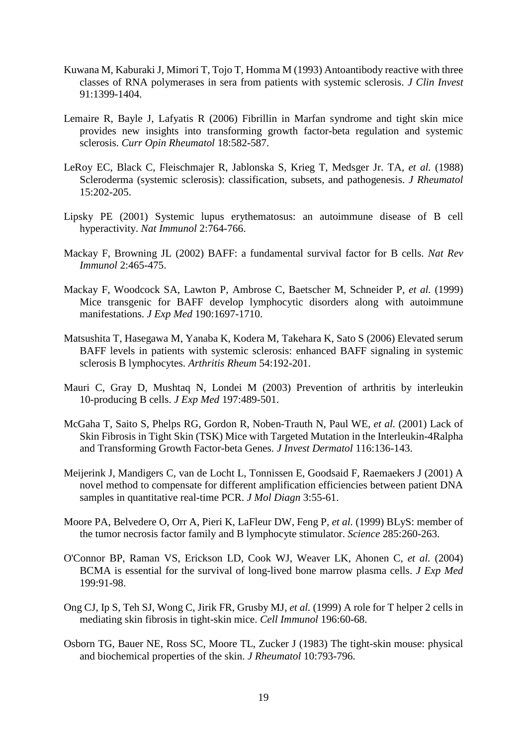- Kuwana M, Kaburaki J, Mimori T, Tojo T, Homma M (1993) Antoantibody reactive with three classes of RNA polymerases in sera from patients with systemic sclerosis. *J Clin Invest*  91:1399-1404.
- Lemaire R, Bayle J, Lafyatis R (2006) Fibrillin in Marfan syndrome and tight skin mice provides new insights into transforming growth factor-beta regulation and systemic sclerosis. *Curr Opin Rheumatol* 18:582-587.
- LeRoy EC, Black C, Fleischmajer R, Jablonska S, Krieg T, Medsger Jr. TA*, et al.* (1988) Scleroderma (systemic sclerosis): classification, subsets, and pathogenesis. *J Rheumatol*  15:202-205.
- Lipsky PE (2001) Systemic lupus erythematosus: an autoimmune disease of B cell hyperactivity. *Nat Immunol* 2:764-766.
- Mackay F, Browning JL (2002) BAFF: a fundamental survival factor for B cells. *Nat Rev Immunol* 2:465-475.
- Mackay F, Woodcock SA, Lawton P, Ambrose C, Baetscher M, Schneider P*, et al.* (1999) Mice transgenic for BAFF develop lymphocytic disorders along with autoimmune manifestations. *J Exp Med* 190:1697-1710.
- Matsushita T, Hasegawa M, Yanaba K, Kodera M, Takehara K, Sato S (2006) Elevated serum BAFF levels in patients with systemic sclerosis: enhanced BAFF signaling in systemic sclerosis B lymphocytes. *Arthritis Rheum* 54:192-201.
- Mauri C, Gray D, Mushtaq N, Londei M (2003) Prevention of arthritis by interleukin 10-producing B cells. *J Exp Med* 197:489-501.
- McGaha T, Saito S, Phelps RG, Gordon R, Noben-Trauth N, Paul WE*, et al.* (2001) Lack of Skin Fibrosis in Tight Skin (TSK) Mice with Targeted Mutation in the Interleukin-4Ralpha and Transforming Growth Factor-beta Genes. *J Invest Dermatol* 116:136-143.
- Meijerink J, Mandigers C, van de Locht L, Tonnissen E, Goodsaid F, Raemaekers J (2001) A novel method to compensate for different amplification efficiencies between patient DNA samples in quantitative real-time PCR. *J Mol Diagn* 3:55-61.
- Moore PA, Belvedere O, Orr A, Pieri K, LaFleur DW, Feng P*, et al.* (1999) BLyS: member of the tumor necrosis factor family and B lymphocyte stimulator. *Science* 285:260-263.
- O'Connor BP, Raman VS, Erickson LD, Cook WJ, Weaver LK, Ahonen C*, et al.* (2004) BCMA is essential for the survival of long-lived bone marrow plasma cells. *J Exp Med*  199:91-98.
- Ong CJ, Ip S, Teh SJ, Wong C, Jirik FR, Grusby MJ*, et al.* (1999) A role for T helper 2 cells in mediating skin fibrosis in tight-skin mice. *Cell Immunol* 196:60-68.
- Osborn TG, Bauer NE, Ross SC, Moore TL, Zucker J (1983) The tight-skin mouse: physical and biochemical properties of the skin. *J Rheumatol* 10:793-796.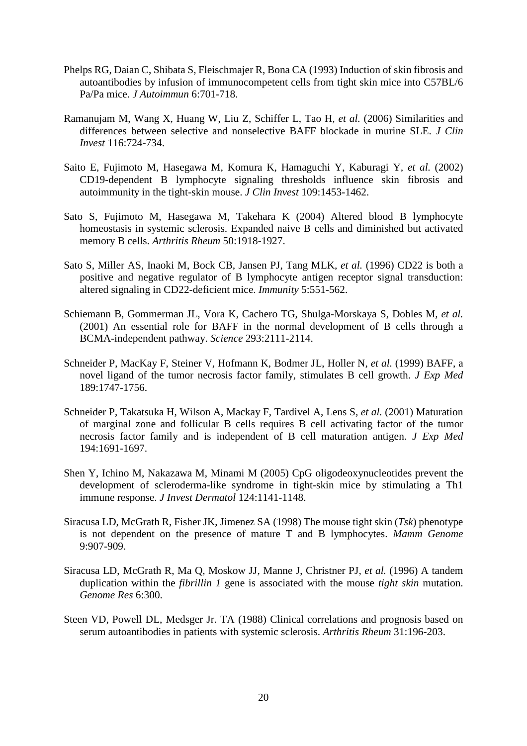- Phelps RG, Daian C, Shibata S, Fleischmajer R, Bona CA (1993) Induction of skin fibrosis and autoantibodies by infusion of immunocompetent cells from tight skin mice into C57BL/6 Pa/Pa mice. *J Autoimmun* 6:701-718.
- Ramanujam M, Wang X, Huang W, Liu Z, Schiffer L, Tao H*, et al.* (2006) Similarities and differences between selective and nonselective BAFF blockade in murine SLE. *J Clin Invest* 116:724-734.
- Saito E, Fujimoto M, Hasegawa M, Komura K, Hamaguchi Y, Kaburagi Y*, et al.* (2002) CD19-dependent B lymphocyte signaling thresholds influence skin fibrosis and autoimmunity in the tight-skin mouse. *J Clin Invest* 109:1453-1462.
- Sato S, Fujimoto M, Hasegawa M, Takehara K (2004) Altered blood B lymphocyte homeostasis in systemic sclerosis. Expanded naive B cells and diminished but activated memory B cells. *Arthritis Rheum* 50:1918-1927.
- Sato S, Miller AS, Inaoki M, Bock CB, Jansen PJ, Tang MLK*, et al.* (1996) CD22 is both a positive and negative regulator of B lymphocyte antigen receptor signal transduction: altered signaling in CD22-deficient mice. *Immunity* 5:551-562.
- Schiemann B, Gommerman JL, Vora K, Cachero TG, Shulga-Morskaya S, Dobles M*, et al.* (2001) An essential role for BAFF in the normal development of B cells through a BCMA-independent pathway. *Science* 293:2111-2114.
- Schneider P, MacKay F, Steiner V, Hofmann K, Bodmer JL, Holler N*, et al.* (1999) BAFF, a novel ligand of the tumor necrosis factor family, stimulates B cell growth. *J Exp Med*  189:1747-1756.
- Schneider P, Takatsuka H, Wilson A, Mackay F, Tardivel A, Lens S*, et al.* (2001) Maturation of marginal zone and follicular B cells requires B cell activating factor of the tumor necrosis factor family and is independent of B cell maturation antigen. *J Exp Med*  194:1691-1697.
- Shen Y, Ichino M, Nakazawa M, Minami M (2005) CpG oligodeoxynucleotides prevent the development of scleroderma-like syndrome in tight-skin mice by stimulating a Th1 immune response. *J Invest Dermatol* 124:1141-1148.
- Siracusa LD, McGrath R, Fisher JK, Jimenez SA (1998) The mouse tight skin (*Tsk*) phenotype is not dependent on the presence of mature T and B lymphocytes. *Mamm Genome*  9:907-909.
- Siracusa LD, McGrath R, Ma Q, Moskow JJ, Manne J, Christner PJ*, et al.* (1996) A tandem duplication within the *fibrillin 1* gene is associated with the mouse *tight skin* mutation. *Genome Res* 6:300.
- Steen VD, Powell DL, Medsger Jr. TA (1988) Clinical correlations and prognosis based on serum autoantibodies in patients with systemic sclerosis. *Arthritis Rheum* 31:196-203.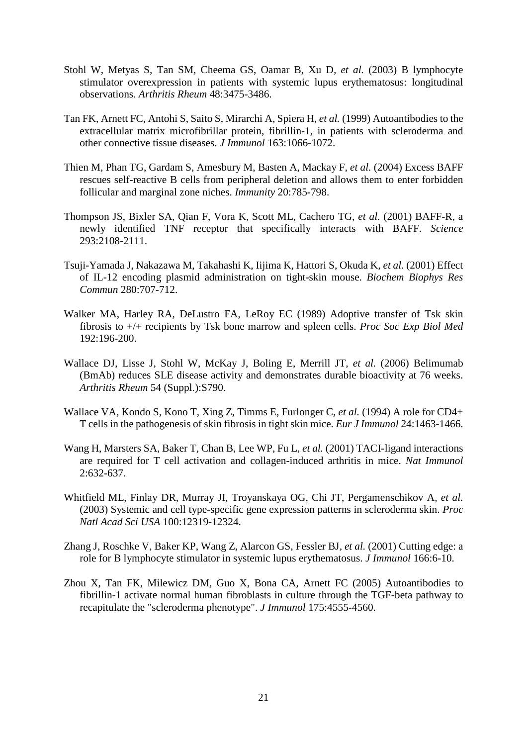- Stohl W, Metyas S, Tan SM, Cheema GS, Oamar B, Xu D*, et al.* (2003) B lymphocyte stimulator overexpression in patients with systemic lupus erythematosus: longitudinal observations. *Arthritis Rheum* 48:3475-3486.
- Tan FK, Arnett FC, Antohi S, Saito S, Mirarchi A, Spiera H*, et al.* (1999) Autoantibodies to the extracellular matrix microfibrillar protein, fibrillin-1, in patients with scleroderma and other connective tissue diseases. *J Immunol* 163:1066-1072.
- Thien M, Phan TG, Gardam S, Amesbury M, Basten A, Mackay F*, et al.* (2004) Excess BAFF rescues self-reactive B cells from peripheral deletion and allows them to enter forbidden follicular and marginal zone niches. *Immunity* 20:785-798.
- Thompson JS, Bixler SA, Qian F, Vora K, Scott ML, Cachero TG*, et al.* (2001) BAFF-R, a newly identified TNF receptor that specifically interacts with BAFF. *Science*  293:2108-2111.
- Tsuji-Yamada J, Nakazawa M, Takahashi K, Iijima K, Hattori S, Okuda K*, et al.* (2001) Effect of IL-12 encoding plasmid administration on tight-skin mouse. *Biochem Biophys Res Commun* 280:707-712.
- Walker MA, Harley RA, DeLustro FA, LeRoy EC (1989) Adoptive transfer of Tsk skin fibrosis to +/+ recipients by Tsk bone marrow and spleen cells. *Proc Soc Exp Biol Med*  192:196-200.
- Wallace DJ, Lisse J, Stohl W, McKay J, Boling E, Merrill JT*, et al.* (2006) Belimumab (BmAb) reduces SLE disease activity and demonstrates durable bioactivity at 76 weeks. *Arthritis Rheum* 54 (Suppl.):S790.
- Wallace VA, Kondo S, Kono T, Xing Z, Timms E, Furlonger C*, et al.* (1994) A role for CD4+ T cells in the pathogenesis of skin fibrosis in tight skin mice. *Eur J Immunol* 24:1463-1466.
- Wang H, Marsters SA, Baker T, Chan B, Lee WP, Fu L*, et al.* (2001) TACI-ligand interactions are required for T cell activation and collagen-induced arthritis in mice. *Nat Immunol*  2:632-637.
- Whitfield ML, Finlay DR, Murray JI, Troyanskaya OG, Chi JT, Pergamenschikov A*, et al.* (2003) Systemic and cell type-specific gene expression patterns in scleroderma skin. *Proc Natl Acad Sci USA* 100:12319-12324.
- Zhang J, Roschke V, Baker KP, Wang Z, Alarcon GS, Fessler BJ*, et al.* (2001) Cutting edge: a role for B lymphocyte stimulator in systemic lupus erythematosus. *J Immunol* 166:6-10.
- Zhou X, Tan FK, Milewicz DM, Guo X, Bona CA, Arnett FC (2005) Autoantibodies to fibrillin-1 activate normal human fibroblasts in culture through the TGF-beta pathway to recapitulate the "scleroderma phenotype". *J Immunol* 175:4555-4560.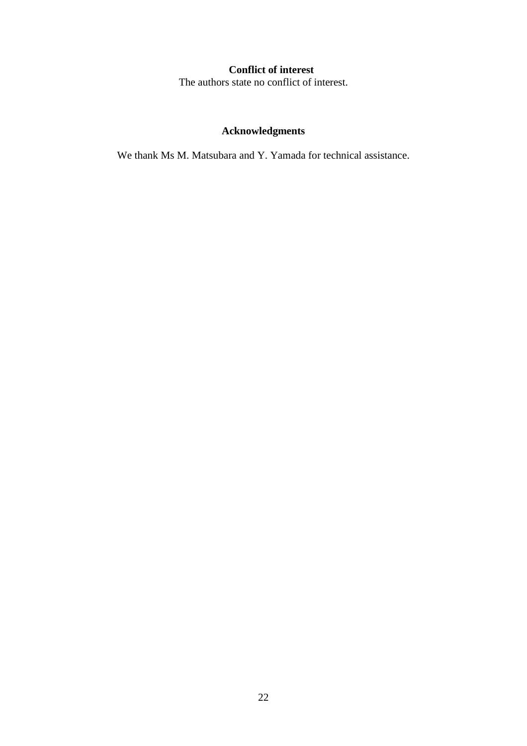## **Conflict of interest**

The authors state no conflict of interest.

## **Acknowledgments**

We thank Ms M. Matsubara and Y. Yamada for technical assistance.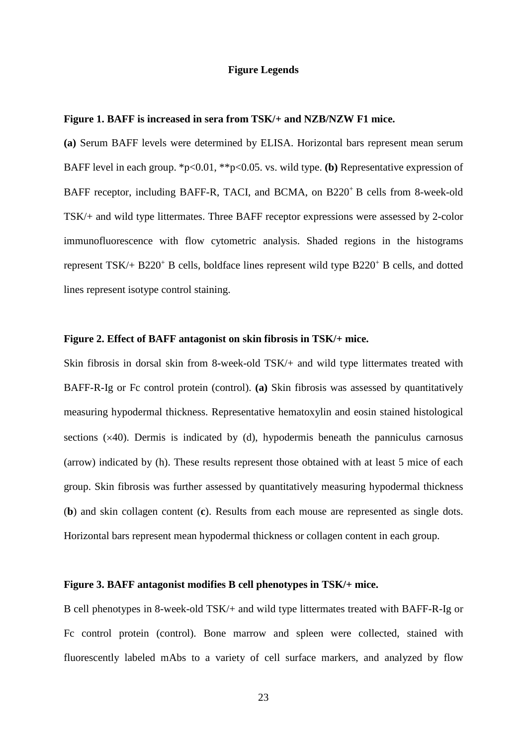## **Figure Legends**

## **Figure 1. BAFF is increased in sera from TSK/+ and NZB/NZW F1 mice.**

**(a)** Serum BAFF levels were determined by ELISA. Horizontal bars represent mean serum BAFF level in each group. \*p<0.01, \*\*p<0.05. vs. wild type. **(b)** Representative expression of BAFF receptor, including BAFF-R, TACI, and BCMA, on B220<sup>+</sup> B cells from 8-week-old TSK/+ and wild type littermates. Three BAFF receptor expressions were assessed by 2-color immunofluorescence with flow cytometric analysis. Shaded regions in the histograms represent TSK/+ B220<sup>+</sup> B cells, boldface lines represent wild type B220+ B cells, and dotted lines represent isotype control staining.

## **Figure 2. Effect of BAFF antagonist on skin fibrosis in TSK/+ mice.**

Skin fibrosis in dorsal skin from 8-week-old TSK/+ and wild type littermates treated with BAFF-R-Ig or Fc control protein (control). **(a)** Skin fibrosis was assessed by quantitatively measuring hypodermal thickness. Representative hematoxylin and eosin stained histological sections ( $\times$ 40). Dermis is indicated by (d), hypodermis beneath the panniculus carnosus (arrow) indicated by (h). These results represent those obtained with at least 5 mice of each group. Skin fibrosis was further assessed by quantitatively measuring hypodermal thickness (**b**) and skin collagen content (**c**). Results from each mouse are represented as single dots. Horizontal bars represent mean hypodermal thickness or collagen content in each group.

## **Figure 3. BAFF antagonist modifies B cell phenotypes in TSK/+ mice.**

B cell phenotypes in 8-week-old TSK/+ and wild type littermates treated with BAFF-R-Ig or Fc control protein (control). Bone marrow and spleen were collected, stained with fluorescently labeled mAbs to a variety of cell surface markers, and analyzed by flow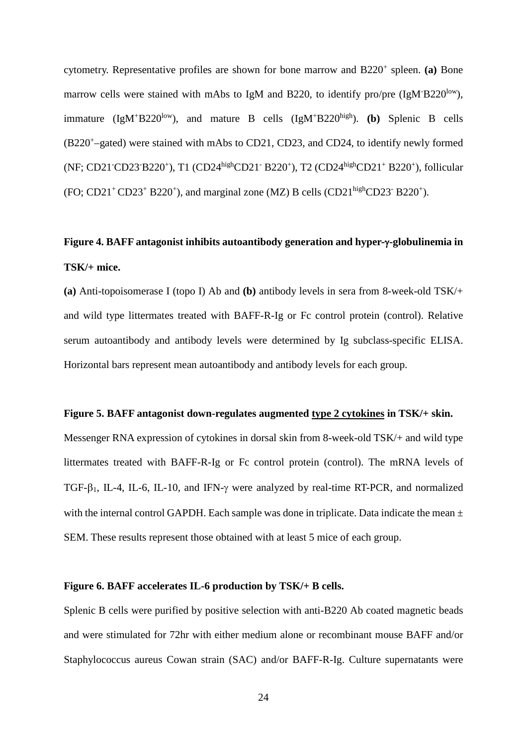cytometry. Representative profiles are shown for bone marrow and B220+ spleen. **(a)** Bone marrow cells were stained with mAbs to IgM and B220, to identify pro/pre  $(IgM'B220^{low})$ , immature (IgM<sup>+</sup>B220<sup>low</sup>), and mature B cells (IgM<sup>+</sup>B220<sup>high</sup>). **(b)** Splenic B cells (B220+–gated) were stained with mAbs to CD21, CD23, and CD24, to identify newly formed (NF; CD21<sup>-</sup>CD23<sup>-</sup>B220<sup>+</sup>), T1 (CD24<sup>high</sup>CD21<sup>-</sup> B220<sup>+</sup>), T2 (CD24<sup>high</sup>CD21<sup>+</sup> B220<sup>+</sup>), follicular (FO; CD21<sup>+</sup> CD23<sup>+</sup> B220<sup>+</sup>), and marginal zone (MZ) B cells (CD21<sup>high</sup>CD23<sup>-</sup> B220<sup>+</sup>).

## **Figure 4. BAFF antagonist inhibits autoantibody generation and hyper-**γ**-globulinemia in TSK/+ mice.**

**(a)** Anti-topoisomerase I (topo I) Ab and **(b)** antibody levels in sera from 8-week-old TSK/+ and wild type littermates treated with BAFF-R-Ig or Fc control protein (control). Relative serum autoantibody and antibody levels were determined by Ig subclass-specific ELISA. Horizontal bars represent mean autoantibody and antibody levels for each group.

## **Figure 5. BAFF antagonist down-regulates augmented type 2 cytokines in TSK/+ skin.**

Messenger RNA expression of cytokines in dorsal skin from 8-week-old TSK/+ and wild type littermates treated with BAFF-R-Ig or Fc control protein (control). The mRNA levels of TGF-β1, IL-4, IL-6, IL-10, and IFN-γ were analyzed by real-time RT-PCR, and normalized with the internal control GAPDH. Each sample was done in triplicate. Data indicate the mean  $\pm$ SEM. These results represent those obtained with at least 5 mice of each group.

## **Figure 6. BAFF accelerates IL-6 production by TSK/+ B cells.**

Splenic B cells were purified by positive selection with anti-B220 Ab coated magnetic beads and were stimulated for 72hr with either medium alone or recombinant mouse BAFF and/or Staphylococcus aureus Cowan strain (SAC) and/or BAFF-R-Ig. Culture supernatants were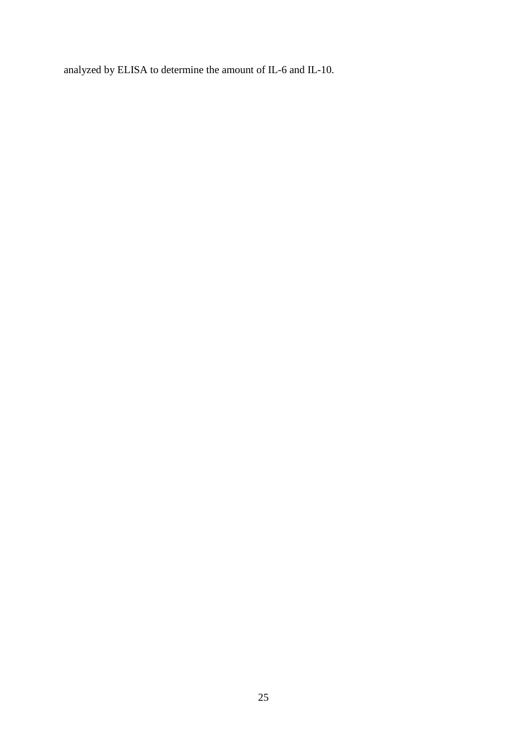analyzed by ELISA to determine the amount of IL-6 and IL-10.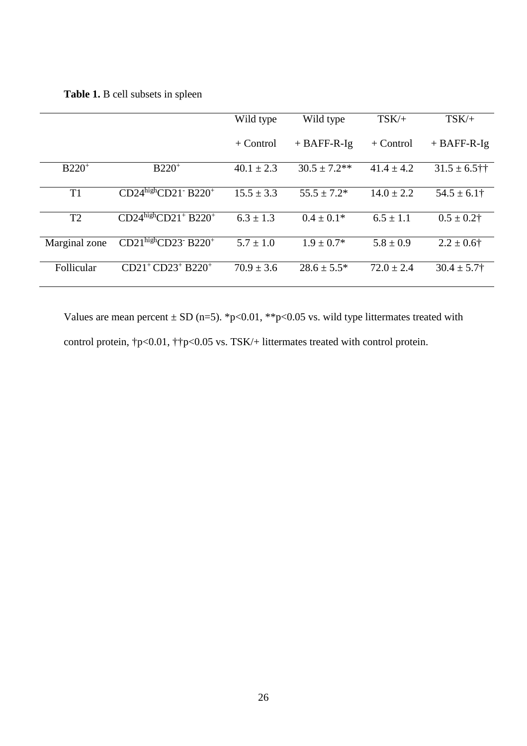**Table 1.** B cell subsets in spleen

|                |                                                         | Wild type      | Wild type         | $TSK/+$        | $TSK/+$           |
|----------------|---------------------------------------------------------|----------------|-------------------|----------------|-------------------|
|                |                                                         | $+$ Control    | $+$ BAFF-R-Ig     | $+$ Control    | $+$ BAFF-R-Ig     |
| $B220^+$       | $B220^+$                                                | $40.1 \pm 2.3$ | $30.5 \pm 7.2$ ** | $41.4 \pm 4.2$ | $31.5 \pm 6.5$ †† |
| T <sub>1</sub> | $CD24^{\text{high}}CD21$ <sup>-</sup> B220 <sup>+</sup> | $15.5 \pm 3.3$ | $55.5 \pm 7.2^*$  | $14.0 \pm 2.2$ | $54.5 \pm 6.1$ †  |
| T2             | $CD24^{\text{high}}CD21^+ B220^+$                       | $6.3 \pm 1.3$  | $0.4 \pm 0.1*$    | $6.5 \pm 1.1$  | $0.5 \pm 0.2$ †   |
| Marginal zone  | $CD21^{\text{high}}CD23^{\text{-}}B220^{\text{+}}$      | $5.7 \pm 1.0$  | $1.9 \pm 0.7*$    | $5.8 \pm 0.9$  | $2.2 \pm 0.6$ †   |
| Follicular     | $CD21^+CD23^+ B220^+$                                   | $70.9 \pm 3.6$ | $28.6 \pm 5.5^*$  | $72.0 \pm 2.4$ | $30.4 \pm 5.7$ †  |

Values are mean percent  $\pm$  SD (n=5). \*p<0.01, \*\*p<0.05 vs. wild type littermates treated with control protein,  $\uparrow$ p<0.01,  $\uparrow$  $\uparrow$ p<0.05 vs. TSK/+ littermates treated with control protein.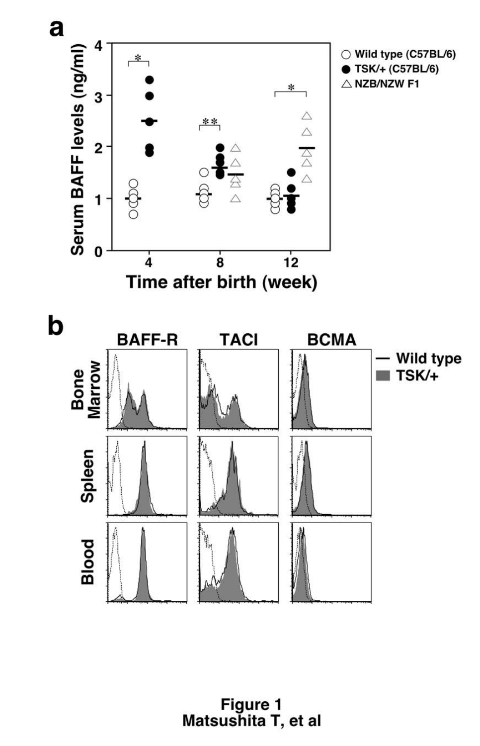

Figure 1<br>Matsushita T, et al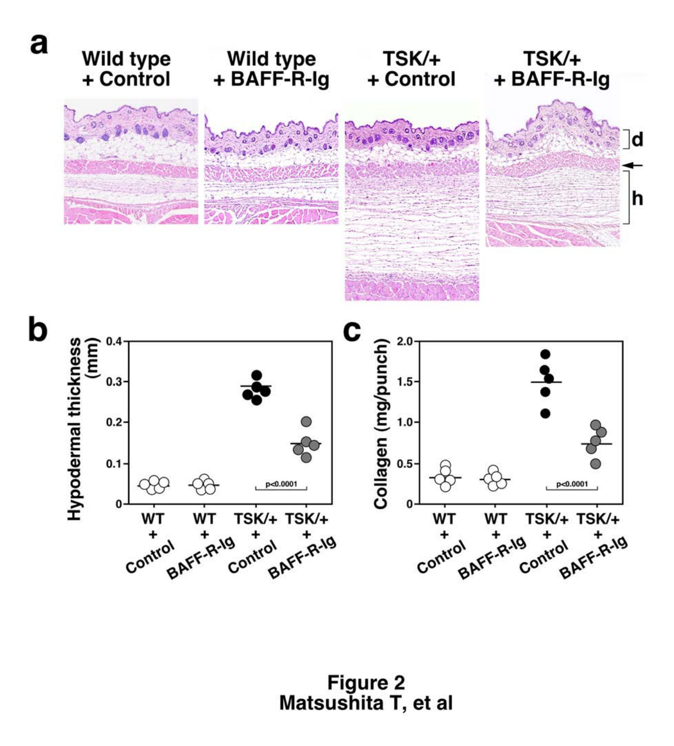

Figure 2<br>Matsushita T, et al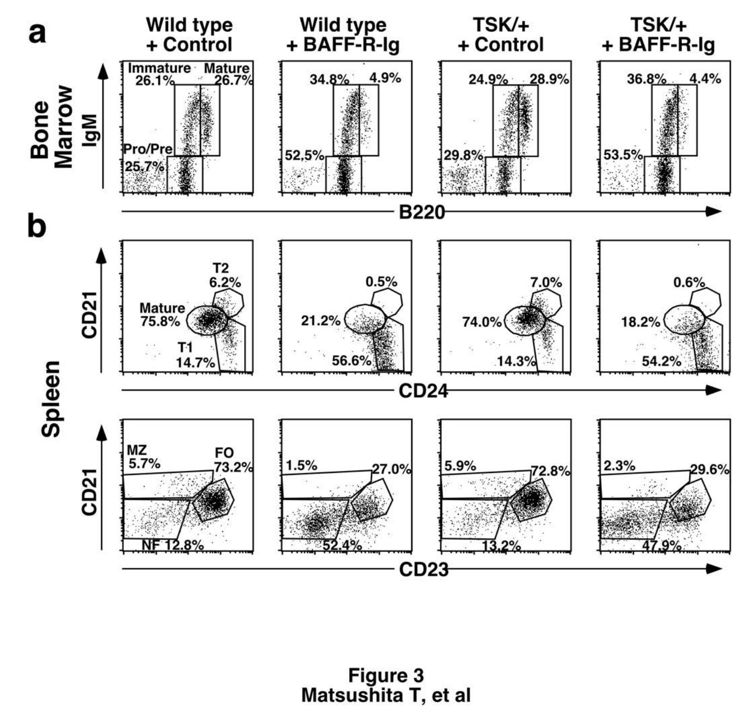

Figure 3<br>Matsushita T, et al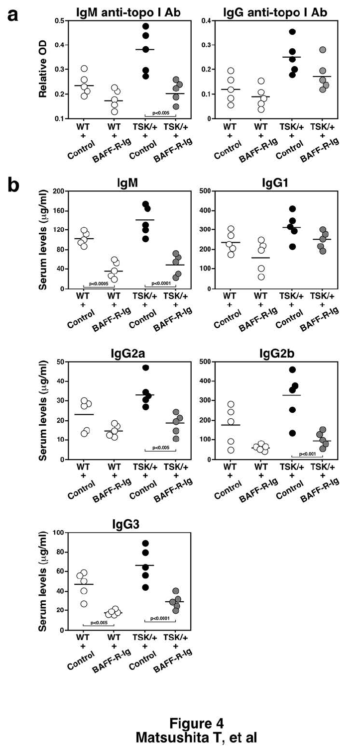

Figure 4<br>Matsushita T, et al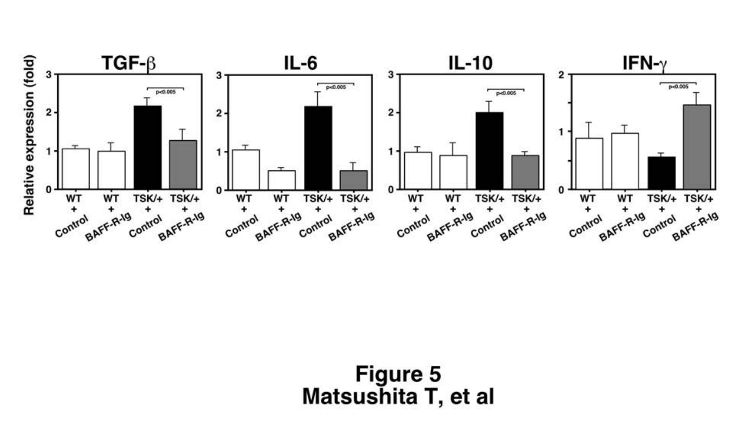

Figure 5 Matsushita T, et al